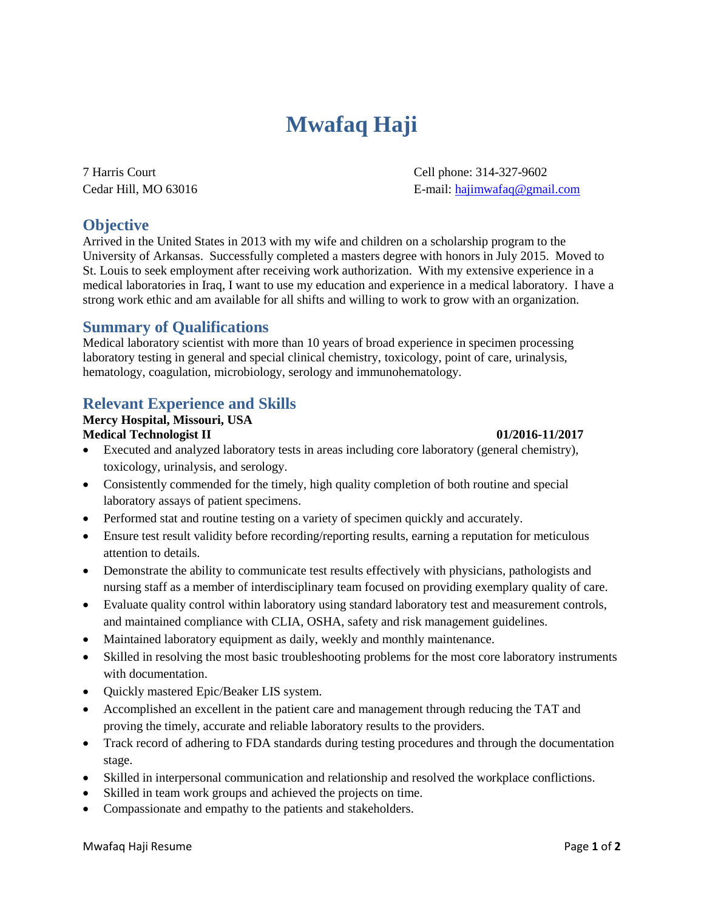# **Mwafaq Haji**

7 Harris Court Cell phone: 314-327-9602 Cedar Hill, MO 63016 **E**-mail[: hajimwafaq@gmail.com](mailto:hajimwafaq@gmail.com)

# **Objective**

Arrived in the United States in 2013 with my wife and children on a scholarship program to the University of Arkansas. Successfully completed a masters degree with honors in July 2015. Moved to St. Louis to seek employment after receiving work authorization. With my extensive experience in a medical laboratories in Iraq, I want to use my education and experience in a medical laboratory. I have a strong work ethic and am available for all shifts and willing to work to grow with an organization.

## **Summary of Qualifications**

Medical laboratory scientist with more than 10 years of broad experience in specimen processing laboratory testing in general and special clinical chemistry, toxicology, point of care, urinalysis, hematology, coagulation, microbiology, serology and immunohematology.

# **Relevant Experience and Skills**

#### **Mercy Hospital, Missouri, USA Medical Technologist II 01/2016-11/2017**

- Executed and analyzed laboratory tests in areas including core laboratory (general chemistry), toxicology, urinalysis, and serology.
- Consistently commended for the timely, high quality completion of both routine and special laboratory assays of patient specimens.
- Performed stat and routine testing on a variety of specimen quickly and accurately.
- Ensure test result validity before recording/reporting results, earning a reputation for meticulous attention to details.
- Demonstrate the ability to communicate test results effectively with physicians, pathologists and nursing staff as a member of interdisciplinary team focused on providing exemplary quality of care.
- Evaluate quality control within laboratory using standard laboratory test and measurement controls, and maintained compliance with CLIA, OSHA, safety and risk management guidelines.
- Maintained laboratory equipment as daily, weekly and monthly maintenance.
- Skilled in resolving the most basic troubleshooting problems for the most core laboratory instruments with documentation.
- Quickly mastered Epic/Beaker LIS system.
- Accomplished an excellent in the patient care and management through reducing the TAT and proving the timely, accurate and reliable laboratory results to the providers.
- Track record of adhering to FDA standards during testing procedures and through the documentation stage.
- Skilled in interpersonal communication and relationship and resolved the workplace conflictions.
- Skilled in team work groups and achieved the projects on time.
- Compassionate and empathy to the patients and stakeholders.